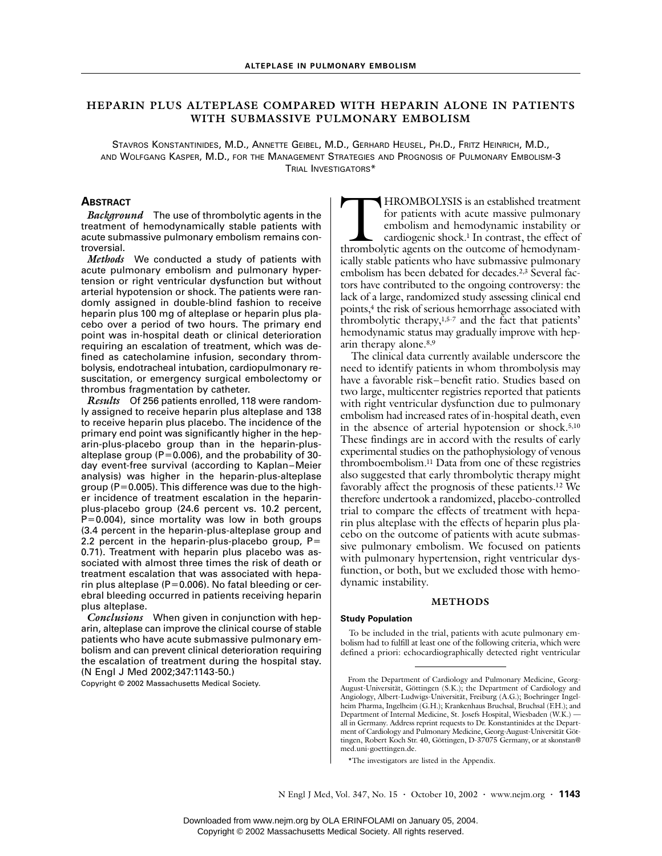# **HEPARIN PLUS ALTEPLASE COMPARED WITH HEPARIN ALONE IN PATIENTS WITH SUBMASSIVE PULMONARY EMBOLISM**

STAVROS KONSTANTINIDES, M.D., ANNETTE GEIBEL, M.D., GERHARD HEUSEL, PH.D., FRITZ HEINRICH, M.D., AND WOLFGANG KASPER, M.D., FOR THE MANAGEMENT STRATEGIES AND PROGNOSIS OF PULMONARY EMBOLISM-3 TRIAL INVESTIGATORS\*

## **ABSTRACT**

*Background* The use of thrombolytic agents in the treatment of hemodynamically stable patients with acute submassive pulmonary embolism remains controversial.

*Methods* We conducted a study of patients with acute pulmonary embolism and pulmonary hypertension or right ventricular dysfunction but without arterial hypotension or shock. The patients were randomly assigned in double-blind fashion to receive heparin plus 100 mg of alteplase or heparin plus placebo over a period of two hours. The primary end point was in-hospital death or clinical deterioration requiring an escalation of treatment, which was defined as catecholamine infusion, secondary thrombolysis, endotracheal intubation, cardiopulmonary resuscitation, or emergency surgical embolectomy or thrombus fragmentation by catheter.

*Results* Of 256 patients enrolled, 118 were randomly assigned to receive heparin plus alteplase and 138 to receive heparin plus placebo. The incidence of the primary end point was significantly higher in the heparin-plus-placebo group than in the heparin-plusalteplase group ( $P=0.006$ ), and the probability of 30day event-free survival (according to Kaplan–Meier analysis) was higher in the heparin-plus-alteplase group ( $P=0.005$ ). This difference was due to the higher incidence of treatment escalation in the heparinplus-placebo group (24.6 percent vs. 10.2 percent, P=0.004), since mortality was low in both groups (3.4 percent in the heparin-plus-alteplase group and 2.2 percent in the heparin-plus-placebo group,  $P=$ 0.71). Treatment with heparin plus placebo was associated with almost three times the risk of death or treatment escalation that was associated with heparin plus alteplase ( $P=0.006$ ). No fatal bleeding or cerebral bleeding occurred in patients receiving heparin plus alteplase.

*Conclusions* When given in conjunction with heparin, alteplase can improve the clinical course of stable patients who have acute submassive pulmonary embolism and can prevent clinical deterioration requiring the escalation of treatment during the hospital stay. (N Engl J Med 2002;347:1143-50.)

HROMBOLYSIS is an established treatment for patients with acute massive pulmonary embolism and hemodynamic instability or cardiogenic shock.1 In contrast, the effect of HROMBOLYSIS is an established treatment<br>for patients with acute massive pulmonary<br>embolism and hemodynamic instability or<br>cardiogenic shock.<sup>1</sup> In contrast, the effect of<br>thrombolytic agents on the outcome of hemodynamically stable patients who have submassive pulmonary embolism has been debated for decades.2,3 Several factors have contributed to the ongoing controversy: the lack of a large, randomized study assessing clinical end points,4 the risk of serious hemorrhage associated with thrombolytic therapy,1,5-7 and the fact that patients' hemodynamic status may gradually improve with heparin therapy alone.8,9

The clinical data currently available underscore the need to identify patients in whom thrombolysis may have a favorable risk–benefit ratio. Studies based on two large, multicenter registries reported that patients with right ventricular dysfunction due to pulmonary embolism had increased rates of in-hospital death, even in the absence of arterial hypotension or shock.5,10 These findings are in accord with the results of early experimental studies on the pathophysiology of venous thromboembolism.11 Data from one of these registries also suggested that early thrombolytic therapy might favorably affect the prognosis of these patients.12 We therefore undertook a randomized, placebo-controlled trial to compare the effects of treatment with heparin plus alteplase with the effects of heparin plus placebo on the outcome of patients with acute submassive pulmonary embolism. We focused on patients with pulmonary hypertension, right ventricular dysfunction, or both, but we excluded those with hemodynamic instability.

### **METHODS**

#### **Study Population**

To be included in the trial, patients with acute pulmonary embolism had to fulfill at least one of the following criteria, which were defined a priori: echocardiographically detected right ventricular

Copyright © 2002 Massachusetts Medical Society.<br>
August-Universität, Göttingen (S.K.); the Department of Cardiology and Pulmonary Medicine, Georg-Angiology, Albert-Ludwigs-Universität, Freiburg (A.G.); Boehringer Ingelheim Pharma, Ingelheim (G.H.); Krankenhaus Bruchsal, Bruchsal (F.H.); and Department of Internal Medicine, St. Josefs Hospital, Wiesbaden (W.K.) all in Germany. Address reprint requests to Dr. Konstantinides at the Department of Cardiology and Pulmonary Medicine, Georg-August-Universität Göttingen, Robert Koch Str. 40, Göttingen, D-37075 Germany, or at skonstan@ med.uni-goettingen.de.

<sup>\*</sup>The investigators are listed in the Appendix.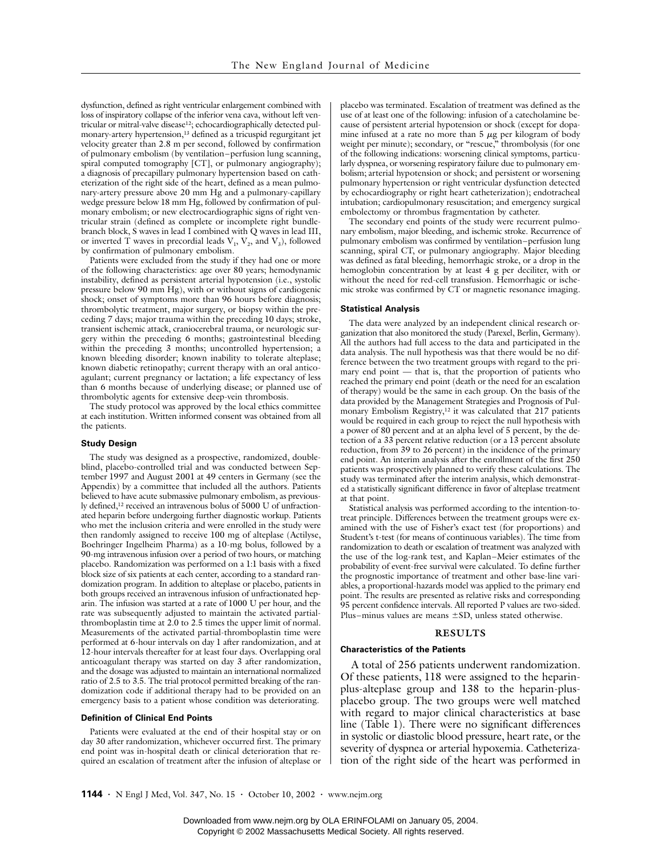dysfunction, defined as right ventricular enlargement combined with loss of inspiratory collapse of the inferior vena cava, without left ventricular or mitral-valve disease12; echocardiographically detected pulmonary-artery hypertension,<sup>13</sup> defined as a tricuspid regurgitant jet velocity greater than 2.8 m per second, followed by confirmation of pulmonary embolism (by ventilation–perfusion lung scanning, spiral computed tomography [CT], or pulmonary angiography); a diagnosis of precapillary pulmonary hypertension based on catheterization of the right side of the heart, defined as a mean pulmonary-artery pressure above 20 mm Hg and a pulmonary-capillary wedge pressure below 18 mm Hg, followed by confirmation of pulmonary embolism; or new electrocardiographic signs of right ventricular strain (defined as complete or incomplete right bundlebranch block, S waves in lead I combined with Q waves in lead III, or inverted T waves in precordial leads  $V_1$ ,  $V_2$ , and  $V_3$ ), followed by confirmation of pulmonary embolism.

Patients were excluded from the study if they had one or more of the following characteristics: age over 80 years; hemodynamic instability, defined as persistent arterial hypotension (i.e., systolic pressure below 90 mm Hg), with or without signs of cardiogenic shock; onset of symptoms more than 96 hours before diagnosis; thrombolytic treatment, major surgery, or biopsy within the preceding 7 days; major trauma within the preceding 10 days; stroke, transient ischemic attack, craniocerebral trauma, or neurologic surgery within the preceding 6 months; gastrointestinal bleeding within the preceding 3 months; uncontrolled hypertension; a known bleeding disorder; known inability to tolerate alteplase; known diabetic retinopathy; current therapy with an oral anticoagulant; current pregnancy or lactation; a life expectancy of less than 6 months because of underlying disease; or planned use of thrombolytic agents for extensive deep-vein thrombosis.

The study protocol was approved by the local ethics committee at each institution. Written informed consent was obtained from all the patients.

## **Study Design**

The study was designed as a prospective, randomized, doubleblind, placebo-controlled trial and was conducted between September 1997 and August 2001 at 49 centers in Germany (see the Appendix) by a committee that included all the authors. Patients believed to have acute submassive pulmonary embolism, as previously defined,12 received an intravenous bolus of 5000 U of unfractionated heparin before undergoing further diagnostic workup. Patients who met the inclusion criteria and were enrolled in the study were then randomly assigned to receive 100 mg of alteplase (Actilyse, Boehringer Ingelheim Pharma) as a 10-mg bolus, followed by a 90-mg intravenous infusion over a period of two hours, or matching placebo. Randomization was performed on a 1:1 basis with a fixed block size of six patients at each center, according to a standard randomization program. In addition to alteplase or placebo, patients in both groups received an intravenous infusion of unfractionated heparin. The infusion was started at a rate of 1000 U per hour, and the rate was subsequently adjusted to maintain the activated partialthromboplastin time at 2.0 to 2.5 times the upper limit of normal. Measurements of the activated partial-thromboplastin time were performed at 6-hour intervals on day 1 after randomization, and at 12-hour intervals thereafter for at least four days. Overlapping oral anticoagulant therapy was started on day 3 after randomization, and the dosage was adjusted to maintain an international normalized ratio of 2.5 to 3.5. The trial protocol permitted breaking of the randomization code if additional therapy had to be provided on an emergency basis to a patient whose condition was deteriorating.

#### **Definition of Clinical End Points**

Patients were evaluated at the end of their hospital stay or on day 30 after randomization, whichever occurred first. The primary end point was in-hospital death or clinical deterioration that required an escalation of treatment after the infusion of alteplase or placebo was terminated. Escalation of treatment was defined as the use of at least one of the following: infusion of a catecholamine because of persistent arterial hypotension or shock (except for dopamine infused at a rate no more than  $5 \mu g$  per kilogram of body weight per minute); secondary, or "rescue," thrombolysis (for one of the following indications: worsening clinical symptoms, particularly dyspnea, or worsening respiratory failure due to pulmonary embolism; arterial hypotension or shock; and persistent or worsening pulmonary hypertension or right ventricular dysfunction detected by echocardiography or right heart catheterization); endotracheal intubation; cardiopulmonary resuscitation; and emergency surgical embolectomy or thrombus fragmentation by catheter.

The secondary end points of the study were recurrent pulmonary embolism, major bleeding, and ischemic stroke. Recurrence of pulmonary embolism was confirmed by ventilation–perfusion lung scanning, spiral CT, or pulmonary angiography. Major bleeding was defined as fatal bleeding, hemorrhagic stroke, or a drop in the hemoglobin concentration by at least 4 g per deciliter, with or without the need for red-cell transfusion. Hemorrhagic or ischemic stroke was confirmed by CT or magnetic resonance imaging.

#### **Statistical Analysis**

The data were analyzed by an independent clinical research organization that also monitored the study (Parexel, Berlin, Germany). All the authors had full access to the data and participated in the data analysis. The null hypothesis was that there would be no difference between the two treatment groups with regard to the primary end point — that is, that the proportion of patients who reached the primary end point (death or the need for an escalation of therapy) would be the same in each group. On the basis of the data provided by the Management Strategies and Prognosis of Pulmonary Embolism Registry,<sup>12</sup> it was calculated that 217 patients would be required in each group to reject the null hypothesis with a power of 80 percent and at an alpha level of 5 percent, by the detection of a 33 percent relative reduction (or a 13 percent absolute reduction, from 39 to 26 percent) in the incidence of the primary end point. An interim analysis after the enrollment of the first 250 patients was prospectively planned to verify these calculations. The study was terminated after the interim analysis, which demonstrated a statistically significant difference in favor of alteplase treatment at that point.

Statistical analysis was performed according to the intention-totreat principle. Differences between the treatment groups were examined with the use of Fisher's exact test (for proportions) and Student's t-test (for means of continuous variables). The time from randomization to death or escalation of treatment was analyzed with the use of the log-rank test, and Kaplan–Meier estimates of the probability of event-free survival were calculated. To define further the prognostic importance of treatment and other base-line variables, a proportional-hazards model was applied to the primary end point. The results are presented as relative risks and corresponding 95 percent confidence intervals. All reported P values are two-sided. Plus–minus values are means ±SD, unless stated otherwise.

## **RESULTS**

#### **Characteristics of the Patients**

A total of 256 patients underwent randomization. Of these patients, 118 were assigned to the heparinplus-alteplase group and 138 to the heparin-plusplacebo group. The two groups were well matched with regard to major clinical characteristics at base line (Table 1). There were no significant differences in systolic or diastolic blood pressure, heart rate, or the severity of dyspnea or arterial hypoxemia. Catheterization of the right side of the heart was performed in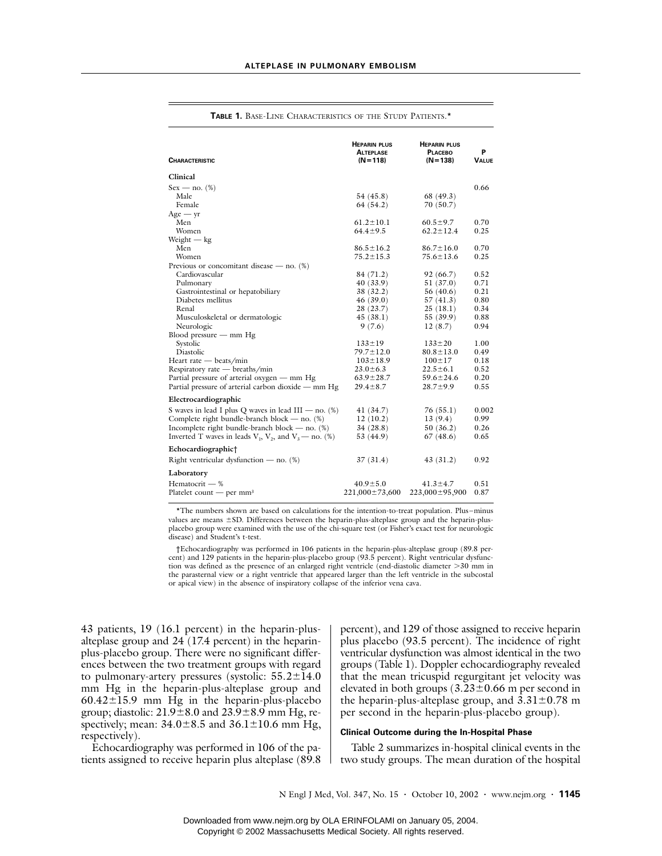| <b>CHARACTERISTIC</b>                                         | <b>HEPARIN PLUS</b><br><b>ALTEPLASE</b><br>$(N=118)$ | <b>HEPARIN PLUS</b><br><b>PLACEBO</b><br>(N=138) | P<br><b>VALUE</b> |
|---------------------------------------------------------------|------------------------------------------------------|--------------------------------------------------|-------------------|
| Clinical                                                      |                                                      |                                                  |                   |
| $Sex - no. (*)$                                               |                                                      |                                                  | 0.66              |
| Male                                                          | 54 (45.8)                                            | 68 (49.3)                                        |                   |
| Female                                                        | 64 (54.2)                                            | 70 (50.7)                                        |                   |
| $Age - yr$                                                    |                                                      |                                                  |                   |
| Men                                                           | $61.2 \pm 10.1$                                      | $60.5 \pm 9.7$                                   | 0.70              |
| Women                                                         | $64.4 \pm 9.5$                                       | $62.2 \pm 12.4$                                  | 0.25              |
| Weight $-$ kg                                                 |                                                      |                                                  |                   |
| Men<br>Women                                                  | $86.5 \pm 16.2$<br>$75.2 \pm 15.3$                   | $86.7 \pm 16.0$<br>$75.6 \pm 13.6$               | 0.70<br>0.25      |
| Previous or concomitant disease — no. $(\%)$                  |                                                      |                                                  |                   |
| Cardiovascular                                                | 84 (71.2)                                            | 92 (66.7)                                        | 0.52              |
| Pulmonary                                                     | 40(33.9)                                             | 51(37.0)                                         | 0.71              |
| Gastrointestinal or hepatobiliary                             | 38(32.2)                                             | 56(40.6)                                         | 0.21              |
| Diabetes mellitus                                             | 46(39.0)                                             | 57(41.3)                                         | 0.80              |
| Renal                                                         | 28(23.7)                                             | 25(18.1)                                         | 0.34              |
| Musculoskeletal or dermatologic                               | 45(38.1)                                             | 55 (39.9)                                        | 0.88              |
| Neurologic                                                    | 9(7.6)                                               | 12(8.7)                                          | 0.94              |
| $Blood pressure - mm Hg$                                      |                                                      |                                                  |                   |
| Systolic                                                      | $133 \pm 19$                                         | $133 \pm 20$                                     | 1.00              |
| Diastolic                                                     | $79.7 \pm 12.0$                                      | $80.8 \pm 13.0$                                  | 0.49              |
| Heart rate - beats/min                                        | $103 \pm 18.9$                                       | $100 \pm 17$                                     | 0.18              |
| Respiratory rate — breaths/min                                | $23.0 \pm 6.3$                                       | $22.5 \pm 6.1$                                   | 0.52              |
| Partial pressure of arterial oxygen — mm Hg                   | $63.9 \pm 28.7$                                      | $59.6 \pm 24.6$                                  | 0.20              |
| Partial pressure of arterial carbon dioxide - mm Hg           | $29.4 \pm 8.7$                                       | $28.7 + 9.9$                                     | 0.55              |
| Electrocardiographic                                          |                                                      |                                                  |                   |
| S waves in lead I plus Q waves in lead $III$ — no. $(\%)$     | 41 (34.7)                                            | 76(55.1)                                         | 0.002             |
| Complete right bundle-branch block — no. (%)                  | 12(10.2)                                             | 13(9.4)                                          | 0.99              |
| Incomplete right bundle-branch block — no. $(\%)$             | 34(28.8)                                             | 50(36.2)                                         | 0.26              |
| Inverted T waves in leads $V_1$ , $V_2$ , and $V_3$ — no. (%) | 53 (44.9)                                            | 67(48.6)                                         | 0.65              |
| Echocardiographic†                                            |                                                      |                                                  |                   |
| Right ventricular dysfunction — no. $(\%)$                    | 37(31.4)                                             | 43(31.2)                                         | 0.92              |
| Laboratory                                                    |                                                      |                                                  |                   |
| Hematocrit — %                                                | $40.9 \pm 5.0$                                       | $41.3 \pm 4.7$                                   | 0.51              |
| Platelet count — per $mm3$                                    | $221,000 \pm 73,600$                                 | 223,000±95,900                                   | 0.87              |
|                                                               |                                                      |                                                  |                   |

**TABLE 1.** BASE-LINE CHARACTERISTICS OF THE STUDY PATIENTS.\*

\*The numbers shown are based on calculations for the intention-to-treat population. Plus–minus values are means ±SD. Differences between the heparin-plus-alteplase group and the heparin-plusplacebo group were examined with the use of the chi-square test (or Fisher's exact test for neurologic disease) and Student's t-test.

†Echocardiography was performed in 106 patients in the heparin-plus-alteplase group (89.8 percent) and 129 patients in the heparin-plus-placebo group (93.5 percent). Right ventricular dysfunction was defined as the presence of an enlarged right ventricle (end-diastolic diameter >30 mm in the parasternal view or a right ventricle that appeared larger than the left ventricle in the subcostal or apical view) in the absence of inspiratory collapse of the inferior vena cava.

43 patients, 19 (16.1 percent) in the heparin-plusalteplase group and 24 (17.4 percent) in the heparinplus-placebo group. There were no significant differences between the two treatment groups with regard to pulmonary-artery pressures (systolic:  $55.2 \pm 14.0$ mm Hg in the heparin-plus-alteplase group and 60.42±15.9 mm Hg in the heparin-plus-placebo group; diastolic:  $21.9 \pm 8.0$  and  $23.9 \pm 8.9$  mm Hg, respectively; mean:  $34.0 \pm 8.5$  and  $36.1 \pm 10.6$  mm Hg, respectively).

Echocardiography was performed in 106 of the patients assigned to receive heparin plus alteplase (89.8 percent), and 129 of those assigned to receive heparin plus placebo (93.5 percent). The incidence of right ventricular dysfunction was almost identical in the two groups (Table 1). Doppler echocardiography revealed that the mean tricuspid regurgitant jet velocity was elevated in both groups  $(3.23 \pm 0.66 \text{ m})$  per second in the heparin-plus-alteplase group, and  $3.31 \pm 0.78$  m per second in the heparin-plus-placebo group).

## **Clinical Outcome during the In-Hospital Phase**

Table 2 summarizes in-hospital clinical events in the two study groups. The mean duration of the hospital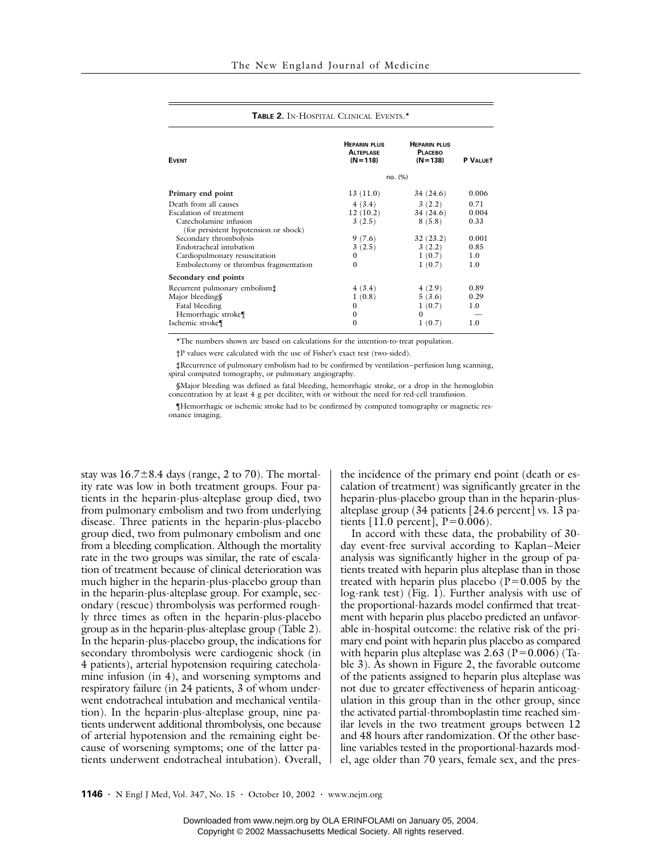| <b>FVFNT</b>                          | <b>HEPARIN PLUS</b><br>AI TEPI ASE<br>$(N=118)$ | <b>HEPARIN PLUS</b><br><b>PLACEBO</b><br>$(N = 138)$ | <b>P</b> VALUET |
|---------------------------------------|-------------------------------------------------|------------------------------------------------------|-----------------|
|                                       | no. (%)                                         |                                                      |                 |
| Primary end point                     | 13(11.0)                                        | 34(24.6)                                             | 0.006           |
| Death from all causes                 | 4(3.4)                                          | 3(2.2)                                               | 0.71            |
| Escalation of treatment               | 12(10.2)                                        | 34(24.6)                                             | 0.004           |
| Catecholamine infusion                | 3(2.5)                                          | 8(5.8)                                               | 0.33            |
| (for persistent hypotension or shock) |                                                 |                                                      |                 |
| Secondary thrombolysis                | 9(7.6)                                          | 32(23.2)                                             | 0.001           |
| Endotracheal intubation               | 3(2.5)                                          | 3(2.2)                                               | 0.85            |
| Cardiopulmonary resuscitation         | $\mathbf{0}$                                    | 1(0.7)                                               | 1.0             |
| Embolectomy or thrombus fragmentation | $\Omega$                                        | 1(0.7)                                               | 1.0             |
| Secondary end points                  |                                                 |                                                      |                 |
| Recurrent pulmonary embolism‡         | 4(3.4)                                          | 4(2.9)                                               | 0.89            |
| Major bleeding§                       | 1(0.8)                                          | 5(3.6)                                               | 0.29            |
| Fatal bleeding                        | $\mathbf{0}$                                    | 1(0.7)                                               | 1.0             |
| Hemorrhagic stroke                    | $\mathbf{0}$                                    | $\Omega$                                             |                 |
| Ischemic stroke                       | $\Omega$                                        | 1(0.7)                                               | 1.0             |

**TABLE 2.** IN-HOSPITAL CLINICAL EVENTS.\*

\*The numbers shown are based on calculations for the intention-to-treat population.

†P values were calculated with the use of Fisher's exact test (two-sided).

‡Recurrence of pulmonary embolism had to be confirmed by ventilation–perfusion lung scanning, spiral computed tomography, or pulmonary angiography.

§Major bleeding was defined as fatal bleeding, hemorrhagic stroke, or a drop in the hemoglobin concentration by at least 4 g per deciliter, with or without the need for red-cell transfusion.

¶Hemorrhagic or ischemic stroke had to be confirmed by computed tomography or magnetic resonance imaging.

stay was  $16.7 \pm 8.4$  days (range, 2 to 70). The mortality rate was low in both treatment groups. Four patients in the heparin-plus-alteplase group died, two from pulmonary embolism and two from underlying disease. Three patients in the heparin-plus-placebo group died, two from pulmonary embolism and one from a bleeding complication. Although the mortality rate in the two groups was similar, the rate of escalation of treatment because of clinical deterioration was much higher in the heparin-plus-placebo group than in the heparin-plus-alteplase group. For example, secondary (rescue) thrombolysis was performed roughly three times as often in the heparin-plus-placebo group as in the heparin-plus-alteplase group (Table 2). In the heparin-plus-placebo group, the indications for secondary thrombolysis were cardiogenic shock (in 4 patients), arterial hypotension requiring catecholamine infusion (in 4), and worsening symptoms and respiratory failure (in 24 patients, 3 of whom underwent endotracheal intubation and mechanical ventilation). In the heparin-plus-alteplase group, nine patients underwent additional thrombolysis, one because of arterial hypotension and the remaining eight because of worsening symptoms; one of the latter patients underwent endotracheal intubation). Overall,

the incidence of the primary end point (death or escalation of treatment) was significantly greater in the heparin-plus-placebo group than in the heparin-plusalteplase group (34 patients [24.6 percent] vs. 13 patients [11.0 percent],  $P=0.006$ ).

In accord with these data, the probability of 30 day event-free survival according to Kaplan–Meier analysis was significantly higher in the group of patients treated with heparin plus alteplase than in those treated with heparin plus placebo ( $P=0.005$  by the log-rank test) (Fig. 1). Further analysis with use of the proportional-hazards model confirmed that treatment with heparin plus placebo predicted an unfavorable in-hospital outcome: the relative risk of the primary end point with heparin plus placebo as compared with heparin plus alteplase was  $2.63$  (P=0.006) (Table 3). As shown in Figure 2, the favorable outcome of the patients assigned to heparin plus alteplase was not due to greater effectiveness of heparin anticoagulation in this group than in the other group, since the activated partial-thromboplastin time reached similar levels in the two treatment groups between 12 and 48 hours after randomization. Of the other baseline variables tested in the proportional-hazards model, age older than 70 years, female sex, and the pres-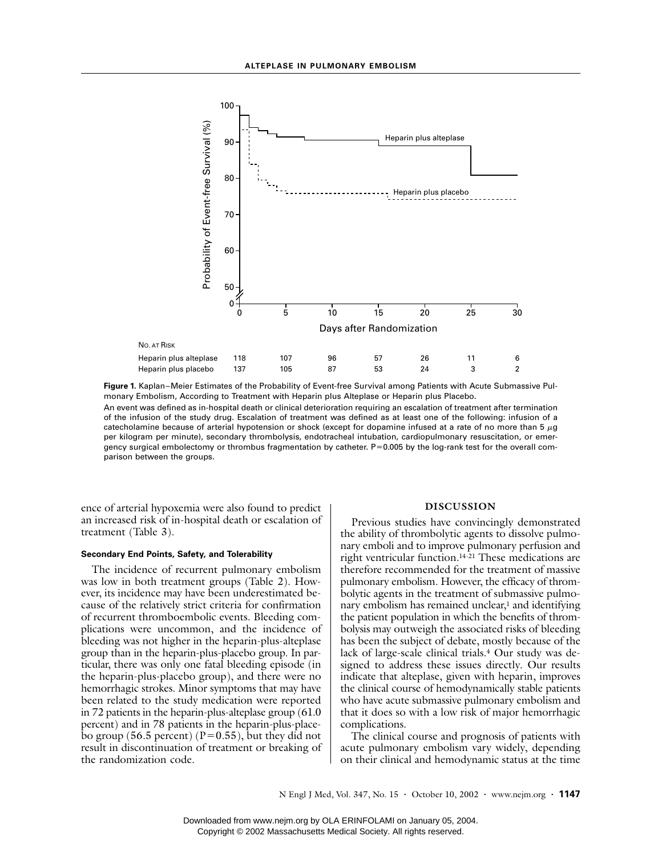

**Figure 1.** Kaplan–Meier Estimates of the Probability of Event-free Survival among Patients with Acute Submassive Pulmonary Embolism, According to Treatment with Heparin plus Alteplase or Heparin plus Placebo.

An event was defined as in-hospital death or clinical deterioration requiring an escalation of treatment after termination of the infusion of the study drug. Escalation of treatment was defined as at least one of the following: infusion of a catecholamine because of arterial hypotension or shock (except for dopamine infused at a rate of no more than 5 *m*g per kilogram per minute), secondary thrombolysis, endotracheal intubation, cardiopulmonary resuscitation, or emergency surgical embolectomy or thrombus fragmentation by catheter. P=0.005 by the log-rank test for the overall comparison between the groups.

ence of arterial hypoxemia were also found to predict an increased risk of in-hospital death or escalation of treatment (Table 3).

## **Secondary End Points, Safety, and Tolerability**

The incidence of recurrent pulmonary embolism was low in both treatment groups (Table 2). However, its incidence may have been underestimated because of the relatively strict criteria for confirmation of recurrent thromboembolic events. Bleeding complications were uncommon, and the incidence of bleeding was not higher in the heparin-plus-alteplase group than in the heparin-plus-placebo group. In particular, there was only one fatal bleeding episode (in the heparin-plus-placebo group), and there were no hemorrhagic strokes. Minor symptoms that may have been related to the study medication were reported in 72 patients in the heparin-plus-alteplase group (61.0 percent) and in 78 patients in the heparin-plus-placebo group (56.5 percent) ( $P=0.55$ ), but they did not result in discontinuation of treatment or breaking of the randomization code.

## **DISCUSSION**

Previous studies have convincingly demonstrated the ability of thrombolytic agents to dissolve pulmonary emboli and to improve pulmonary perfusion and right ventricular function.14-21 These medications are therefore recommended for the treatment of massive pulmonary embolism. However, the efficacy of thrombolytic agents in the treatment of submassive pulmonary embolism has remained unclear,<sup>1</sup> and identifying the patient population in which the benefits of thrombolysis may outweigh the associated risks of bleeding has been the subject of debate, mostly because of the lack of large-scale clinical trials.4 Our study was designed to address these issues directly. Our results indicate that alteplase, given with heparin, improves the clinical course of hemodynamically stable patients who have acute submassive pulmonary embolism and that it does so with a low risk of major hemorrhagic complications.

The clinical course and prognosis of patients with acute pulmonary embolism vary widely, depending on their clinical and hemodynamic status at the time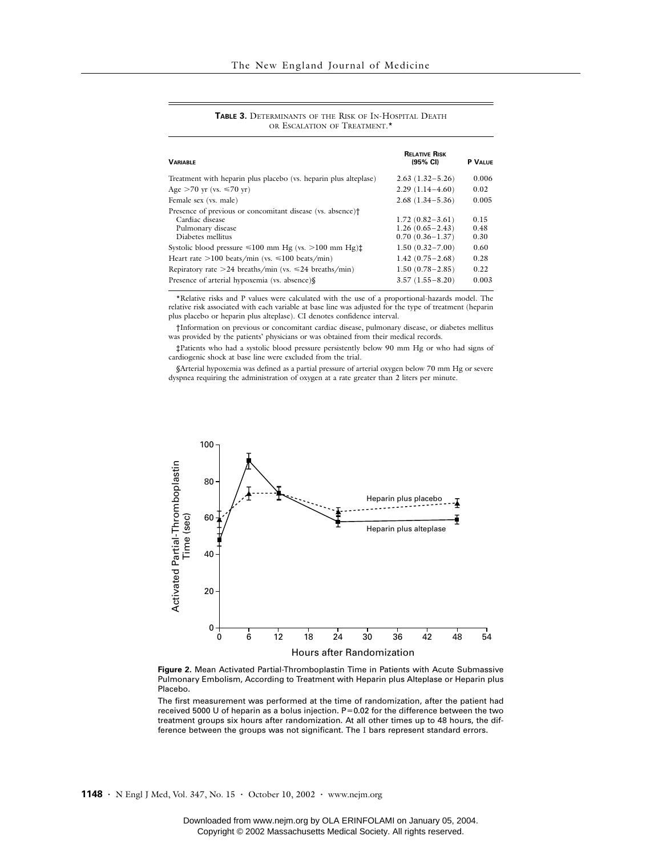| <b><i>VARIABLE</i></b>                                                 | <b>RELATIVE RISK</b><br>$(95% \text{ Cl})$ | P VALUE |
|------------------------------------------------------------------------|--------------------------------------------|---------|
| Treatment with heparin plus placebo (vs. heparin plus alteplase)       | $2.63(1.32 - 5.26)$                        | 0.006   |
| Age >70 yr (vs. $\leq 70$ yr)                                          | $2.29(1.14-4.60)$                          | 0.02    |
| Female sex (vs. male)                                                  | $2.68(1.34 - 5.36)$                        | 0.005   |
| Presence of previous or concomitant disease (vs. absence) <sup>†</sup> |                                            |         |
| Cardiac disease                                                        | $1.72(0.82 - 3.61)$                        | 0.15    |
| Pulmonary disease                                                      | $1.26(0.65 - 2.43)$                        | 0.48    |
| Diabetes mellitus                                                      | $0.70(0.36 - 1.37)$                        | 0.30    |
| Systolic blood pressure $\leq 100$ mm Hg (vs. >100 mm Hg) $\ddagger$   | $1.50(0.32 - 7.00)$                        | 0.60    |
| Heart rate >100 beats/min (vs. $\leq 100$ beats/min)                   | $1.42(0.75-2.68)$                          | 0.28    |
| Repiratory rate > 24 breaths/min (vs. $\leq 24$ breaths/min)           | $1.50(0.78 - 2.85)$                        | 0.22    |
| Presence of arterial hypoxemia (vs. absence)                           | $3.57(1.55 - 8.20)$                        | 0.003   |

**TABLE 3.** DETERMINANTS OF THE RISK OF IN-HOSPITAL DEATH OR ESCALATION OF TREATMENT.<sup>\*</sup>

\*Relative risks and P values were calculated with the use of a proportional-hazards model. The relative risk associated with each variable at base line was adjusted for the type of treatment (heparin plus placebo or heparin plus alteplase). CI denotes confidence interval.

†Information on previous or concomitant cardiac disease, pulmonary disease, or diabetes mellitus was provided by the patients' physicians or was obtained from their medical records.

‡Patients who had a systolic blood pressure persistently below 90 mm Hg or who had signs of cardiogenic shock at base line were excluded from the trial.

§Arterial hypoxemia was defined as a partial pressure of arterial oxygen below 70 mm Hg or severe dyspnea requiring the administration of oxygen at a rate greater than 2 liters per minute.



**Figure 2.** Mean Activated Partial-Thromboplastin Time in Patients with Acute Submassive Pulmonary Embolism, According to Treatment with Heparin plus Alteplase or Heparin plus Placebo.

The first measurement was performed at the time of randomization, after the patient had received 5000 U of heparin as a bolus injection. P=0.02 for the difference between the two treatment groups six hours after randomization. At all other times up to 48 hours, the difference between the groups was not significant. The I bars represent standard errors.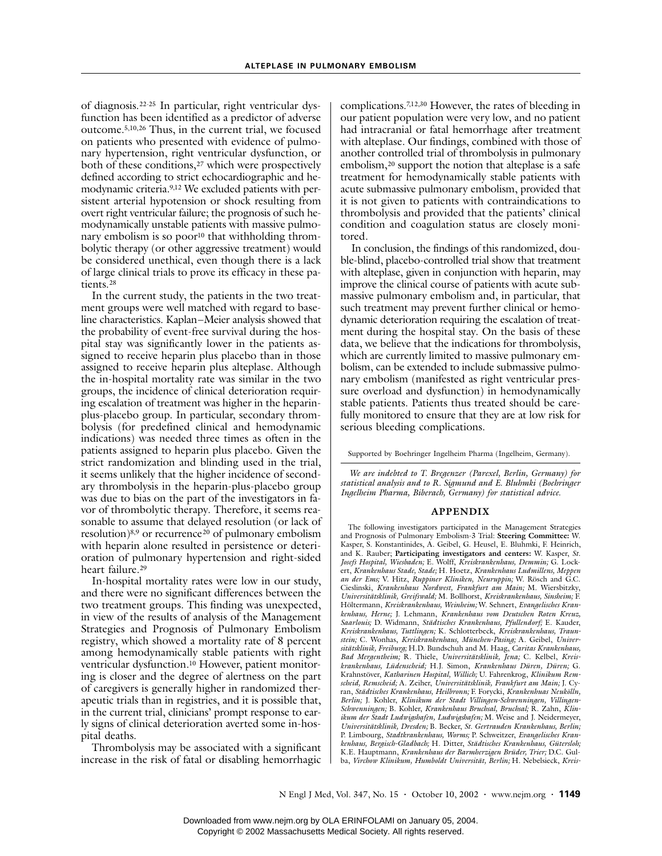of diagnosis.22-25 In particular, right ventricular dysfunction has been identified as a predictor of adverse outcome.5,10,26 Thus, in the current trial, we focused on patients who presented with evidence of pulmonary hypertension, right ventricular dysfunction, or both of these conditions,<sup>27</sup> which were prospectively defined according to strict echocardiographic and hemodynamic criteria.9,12 We excluded patients with persistent arterial hypotension or shock resulting from overt right ventricular failure; the prognosis of such hemodynamically unstable patients with massive pulmonary embolism is so poor<sup>10</sup> that withholding thrombolytic therapy (or other aggressive treatment) would be considered unethical, even though there is a lack of large clinical trials to prove its efficacy in these patients.28

In the current study, the patients in the two treatment groups were well matched with regard to baseline characteristics. Kaplan–Meier analysis showed that the probability of event-free survival during the hospital stay was significantly lower in the patients assigned to receive heparin plus placebo than in those assigned to receive heparin plus alteplase. Although the in-hospital mortality rate was similar in the two groups, the incidence of clinical deterioration requiring escalation of treatment was higher in the heparinplus-placebo group. In particular, secondary thrombolysis (for predefined clinical and hemodynamic indications) was needed three times as often in the patients assigned to heparin plus placebo. Given the strict randomization and blinding used in the trial, it seems unlikely that the higher incidence of secondary thrombolysis in the heparin-plus-placebo group was due to bias on the part of the investigators in favor of thrombolytic therapy. Therefore, it seems reasonable to assume that delayed resolution (or lack of resolution)<sup>8,9</sup> or recurrence<sup>20</sup> of pulmonary embolism with heparin alone resulted in persistence or deterioration of pulmonary hypertension and right-sided heart failure.29

In-hospital mortality rates were low in our study, and there were no significant differences between the two treatment groups. This finding was unexpected, in view of the results of analysis of the Management Strategies and Prognosis of Pulmonary Embolism registry, which showed a mortality rate of 8 percent among hemodynamically stable patients with right ventricular dysfunction.10 However, patient monitoring is closer and the degree of alertness on the part of caregivers is generally higher in randomized therapeutic trials than in registries, and it is possible that, in the current trial, clinicians' prompt response to early signs of clinical deterioration averted some in-hospital deaths.

Thrombolysis may be associated with a significant increase in the risk of fatal or disabling hemorrhagic complications.7,12,30 However, the rates of bleeding in our patient population were very low, and no patient had intracranial or fatal hemorrhage after treatment with alteplase. Our findings, combined with those of another controlled trial of thrombolysis in pulmonary embolism,20 support the notion that alteplase is a safe treatment for hemodynamically stable patients with acute submassive pulmonary embolism, provided that it is not given to patients with contraindications to thrombolysis and provided that the patients' clinical condition and coagulation status are closely monitored.

In conclusion, the findings of this randomized, double-blind, placebo-controlled trial show that treatment with alteplase, given in conjunction with heparin, may improve the clinical course of patients with acute submassive pulmonary embolism and, in particular, that such treatment may prevent further clinical or hemodynamic deterioration requiring the escalation of treatment during the hospital stay. On the basis of these data, we believe that the indications for thrombolysis, which are currently limited to massive pulmonary embolism, can be extended to include submassive pulmonary embolism (manifested as right ventricular pressure overload and dysfunction) in hemodynamically stable patients. Patients thus treated should be carefully monitored to ensure that they are at low risk for serious bleeding complications.

Supported by Boehringer Ingelheim Pharma (Ingelheim, Germany).

*We are indebted to T. Bregenzer (Parexel, Berlin, Germany) for statistical analysis and to R. Sigmund and E. Bluhmki (Boehringer Ingelheim Pharma, Biberach, Germany) for statistical advice.*

## **APPENDIX**

The following investigators participated in the Management Strategies and Prognosis of Pulmonary Embolism-3 Trial: **Steering Committee:** W. Kasper, S. Konstantinides, A. Geibel, G. Heusel, E. Bluhmki, F. Heinrich, and K. Rauber; **Participating investigators and centers:** W. Kasper, *St. Josefs Hospital, Wiesbaden;* E. Wolff, *Kreiskrankenhaus, Demmin;* G. Lockert, *Krankenhaus Stade, Stade;* H. Hoetz, *Krankenhaus Ludmillens, Meppen an der Ems;* V. Hitz, *Ruppiner Kliniken, Neuruppin;* W. Rösch and G.C. Cieslinski, *Krankenhaus Nordwest, Frankfurt am Main;* M. Wiersbitzky, *Universitätsklinik, Greifswald;* M. Bollhorst, *Kreiskrankenhaus, Sinsheim;* F. Höltermann, *Kreiskrankenhaus, Weinheim;* W. Sehnert, *Evangelisches Krankenhaus, Herne;* J. Lehmann, *Krankenhaus vom Deutschen Roten Kreuz, Saarlouis;* D. Widmann, *Städtisches Krankenhaus, Pfullendorf;* E. Kauder, *Kreiskrankenhaus, Tuttlingen;* K. Schlotterbeck, *Kreiskrankenhaus, Traunstein;* C. Wonhas, *Kreiskrankenhaus, München-Pasing;* A. Geibel, *Universitätsklinik, Freiburg;* H.D. Bundschuh and M. Haag, *Caritas Krankenhaus, Bad Mergentheim;* R. Thiele, *Universitätsklinik, Jena;* C. Kelbel, *Kreiskrankenhaus, Lüdenscheid;* H.J. Simon, *Krankenhaus Düren, Düren;* G. Krahnstöver, *Katharinen Hospital, Willich;* U. Fahrenkrog, *Klinikum Remscheid, Remscheid;* A. Zeiher, *Universitätsklinik, Frankfurt am Main;* J. Cyran, *Städtisches Krankenhaus, Heilbronn;* F. Forycki, *Krankenhuas Neukölln, Berlin;* J. Kohler, *Klinikum der Stadt Villingen-Schwenningen, Villingen-Schwenningen;* B. Kohler, *Krankenhaus Bruchsal, Bruchsal;* R. Zahn, *Klinikum der Stadt Ludwigshafen, Ludwigshafen;* M. Weise and J. Neidermeyer, *Universitätsklinik, Dresden;* B. Becker, *St. Gertrauden Krankenhaus, Berlin;* P. Limbourg, *Stadtkrankenhaus, Worms;* P. Schweitzer, *Evangelisches Krankenhaus, Bergisch-Gladbach;* H. Ditter, *Städtisches Krankenhaus, Gütersloh;* K.E. Hauptmann, *Krankenhaus der Barmherzigen Brüder, Trier;* D.C. Gulba, *Virchow Klinikum, Humboldt Universität, Berlin;* H. Nebelsieck, *Kreis-*